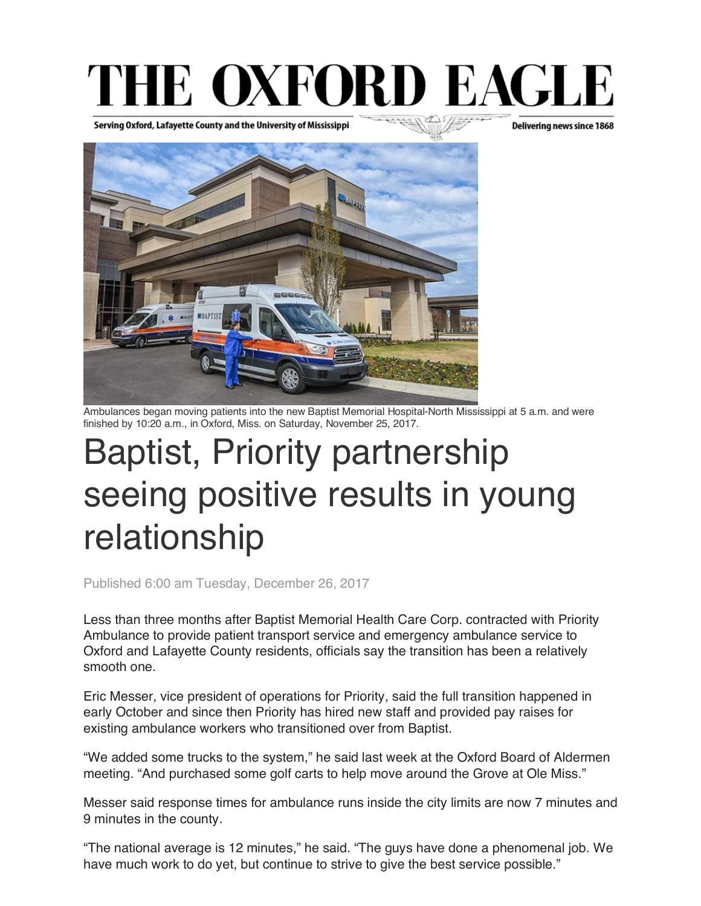## THE OXFORD EAGLE

Serving Oxford, Lafayette County and the University of Mississippi

Delivering news since 1868



Ambulances began moving patients into the new Baptist Memorial Hospital-North Mississippi at 5 a.m. and were finished by 10:20 a.m., in Oxford, Miss. on Saturday, November 25, 2017.

## Baptist, Priority partnership seeing positive results in young relationship

Published 6:00 am Tuesday, December 26, 2017

Less than three months after Baptist Memorial Health Care Corp. contracted with Priority Ambulance to provide patient transport service and emergency ambulance service to Oxford and Lafayette County residents, officials say the transition has been a relatively smooth one.

Eric Messer, vice president of operations for Priority, said the full transition happened in early October and since then Priority has hired new staff and provided pay raises for existing ambulance workers who transitioned over from Baptist.

"We added some trucks to the system," he said last week at the Oxford Board of Aldermen meeting. "And purchased some golf carts to help move around the Grove at Ole Miss."

Messer said response times for ambulance runs inside the city limits are now 7 minutes and 9 minutes in the county.

"The national average is 12 minutes," he said. "The guys have done a phenomenal job. We have much work to do yet, but continue to strive to give the best service possible."